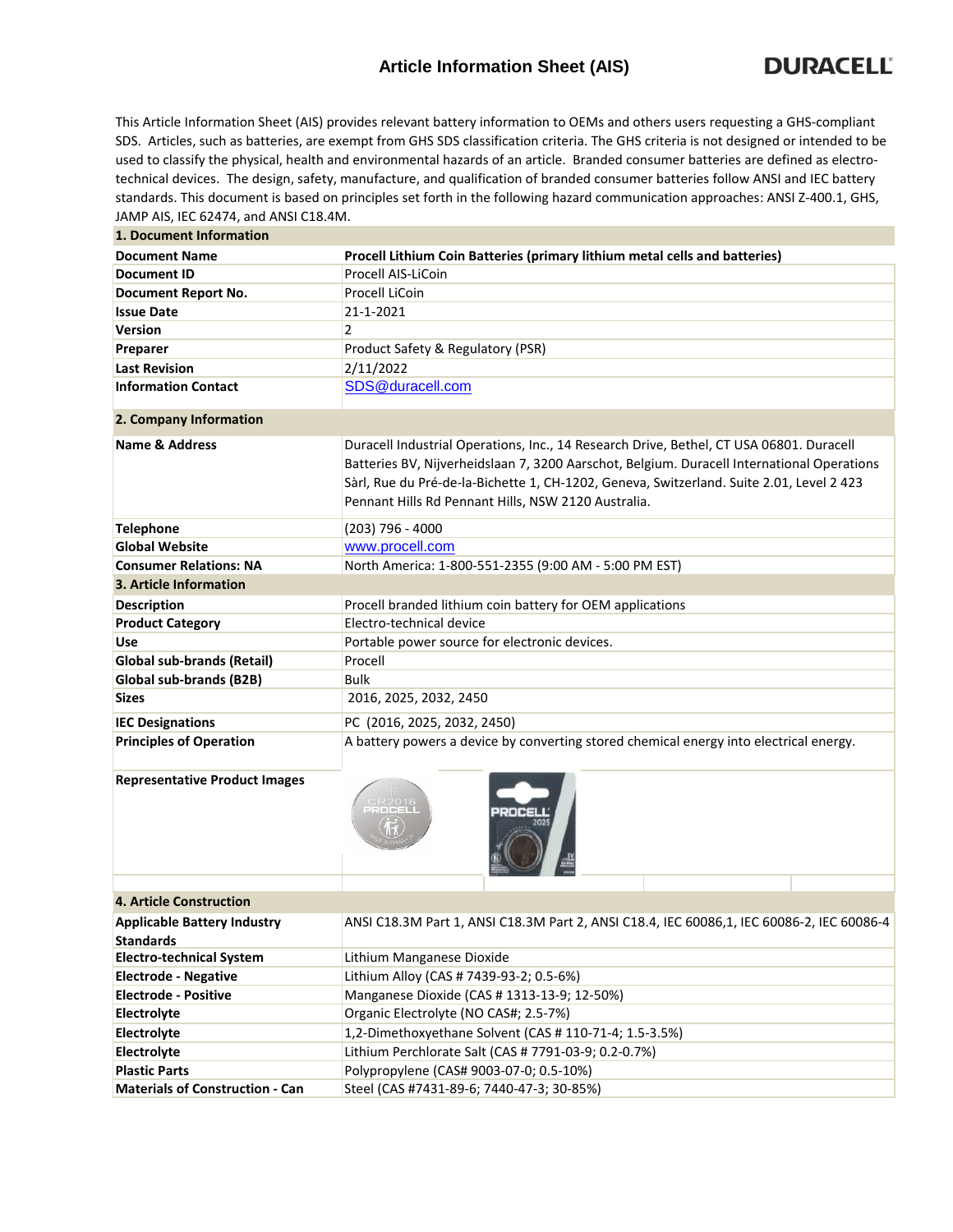## **Article Information Sheet (AIS)**

This Article Information Sheet (AIS) provides relevant battery information to OEMs and others users requesting a GHS-compliant SDS. Articles, such as batteries, are exempt from GHS SDS classification criteria. The GHS criteria is not designed or intended to be used to classify the physical, health and environmental hazards of an article. Branded consumer batteries are defined as electrotechnical devices. The design, safety, manufacture, and qualification of branded consumer batteries follow ANSI and IEC battery standards. This document is based on principles set forth in the following hazard communication approaches: ANSI Z-400.1, GHS, JAMP AIS, IEC 62474, and ANSI C18.4M.

| 1. Document Information                |                                                                                                                                                                                                                                                                                                                                          |  |  |  |  |  |
|----------------------------------------|------------------------------------------------------------------------------------------------------------------------------------------------------------------------------------------------------------------------------------------------------------------------------------------------------------------------------------------|--|--|--|--|--|
| <b>Document Name</b>                   | Procell Lithium Coin Batteries (primary lithium metal cells and batteries)                                                                                                                                                                                                                                                               |  |  |  |  |  |
| <b>Document ID</b>                     | Procell AIS-LiCoin                                                                                                                                                                                                                                                                                                                       |  |  |  |  |  |
| Document Report No.                    | Procell LiCoin                                                                                                                                                                                                                                                                                                                           |  |  |  |  |  |
| <b>Issue Date</b>                      | 21-1-2021                                                                                                                                                                                                                                                                                                                                |  |  |  |  |  |
| <b>Version</b>                         | $\overline{2}$                                                                                                                                                                                                                                                                                                                           |  |  |  |  |  |
| Preparer                               | Product Safety & Regulatory (PSR)                                                                                                                                                                                                                                                                                                        |  |  |  |  |  |
| <b>Last Revision</b>                   | 2/11/2022                                                                                                                                                                                                                                                                                                                                |  |  |  |  |  |
| <b>Information Contact</b>             | SDS@duracell.com                                                                                                                                                                                                                                                                                                                         |  |  |  |  |  |
| 2. Company Information                 |                                                                                                                                                                                                                                                                                                                                          |  |  |  |  |  |
| <b>Name &amp; Address</b>              | Duracell Industrial Operations, Inc., 14 Research Drive, Bethel, CT USA 06801. Duracell<br>Batteries BV, Nijverheidslaan 7, 3200 Aarschot, Belgium. Duracell International Operations<br>Sàrl, Rue du Pré-de-la-Bichette 1, CH-1202, Geneva, Switzerland. Suite 2.01, Level 2 423<br>Pennant Hills Rd Pennant Hills, NSW 2120 Australia. |  |  |  |  |  |
| <b>Telephone</b>                       | (203) 796 - 4000                                                                                                                                                                                                                                                                                                                         |  |  |  |  |  |
| <b>Global Website</b>                  | www.procell.com                                                                                                                                                                                                                                                                                                                          |  |  |  |  |  |
| <b>Consumer Relations: NA</b>          | North America: 1-800-551-2355 (9:00 AM - 5:00 PM EST)                                                                                                                                                                                                                                                                                    |  |  |  |  |  |
| 3. Article Information                 |                                                                                                                                                                                                                                                                                                                                          |  |  |  |  |  |
| <b>Description</b>                     | Procell branded lithium coin battery for OEM applications                                                                                                                                                                                                                                                                                |  |  |  |  |  |
| <b>Product Category</b>                | Electro-technical device                                                                                                                                                                                                                                                                                                                 |  |  |  |  |  |
| Use                                    | Portable power source for electronic devices.                                                                                                                                                                                                                                                                                            |  |  |  |  |  |
| Global sub-brands (Retail)             | Procell                                                                                                                                                                                                                                                                                                                                  |  |  |  |  |  |
| Global sub-brands (B2B)                | Bulk                                                                                                                                                                                                                                                                                                                                     |  |  |  |  |  |
| <b>Sizes</b>                           | 2016, 2025, 2032, 2450                                                                                                                                                                                                                                                                                                                   |  |  |  |  |  |
| <b>IEC Designations</b>                | PC (2016, 2025, 2032, 2450)                                                                                                                                                                                                                                                                                                              |  |  |  |  |  |
| <b>Principles of Operation</b>         | A battery powers a device by converting stored chemical energy into electrical energy.                                                                                                                                                                                                                                                   |  |  |  |  |  |
| <b>Representative Product Images</b>   |                                                                                                                                                                                                                                                                                                                                          |  |  |  |  |  |
| <b>4. Article Construction</b>         |                                                                                                                                                                                                                                                                                                                                          |  |  |  |  |  |
| <b>Applicable Battery Industry</b>     | ANSI C18.3M Part 1, ANSI C18.3M Part 2, ANSI C18.4, IEC 60086,1, IEC 60086-2, IEC 60086-4                                                                                                                                                                                                                                                |  |  |  |  |  |
| <b>Standards</b>                       |                                                                                                                                                                                                                                                                                                                                          |  |  |  |  |  |
| <b>Electro-technical System</b>        | Lithium Manganese Dioxide                                                                                                                                                                                                                                                                                                                |  |  |  |  |  |
| <b>Electrode - Negative</b>            | Lithium Alloy (CAS # 7439-93-2; 0.5-6%)                                                                                                                                                                                                                                                                                                  |  |  |  |  |  |
| <b>Electrode - Positive</b>            | Manganese Dioxide (CAS # 1313-13-9; 12-50%)                                                                                                                                                                                                                                                                                              |  |  |  |  |  |
| Electrolyte                            | Organic Electrolyte (NO CAS#; 2.5-7%)                                                                                                                                                                                                                                                                                                    |  |  |  |  |  |
| Electrolyte                            | 1,2-Dimethoxyethane Solvent (CAS # 110-71-4; 1.5-3.5%)                                                                                                                                                                                                                                                                                   |  |  |  |  |  |
| Electrolyte                            | Lithium Perchlorate Salt (CAS # 7791-03-9; 0.2-0.7%)                                                                                                                                                                                                                                                                                     |  |  |  |  |  |
| <b>Plastic Parts</b>                   | Polypropylene (CAS# 9003-07-0; 0.5-10%)                                                                                                                                                                                                                                                                                                  |  |  |  |  |  |
| <b>Materials of Construction - Can</b> | Steel (CAS #7431-89-6; 7440-47-3; 30-85%)                                                                                                                                                                                                                                                                                                |  |  |  |  |  |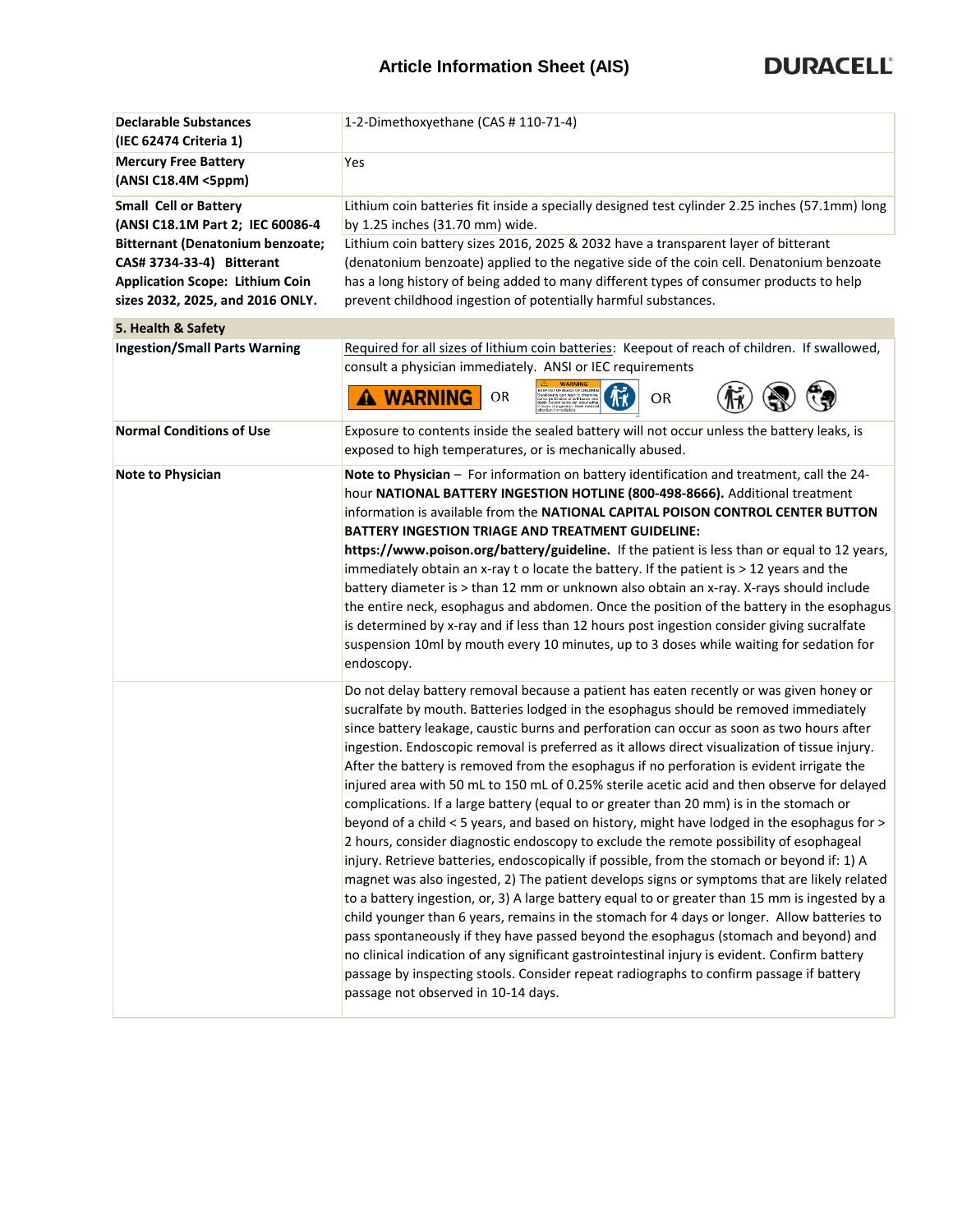| <b>Declarable Substances</b><br>(IEC 62474 Criteria 1)                                                                                                                                                          | 1-2-Dimethoxyethane (CAS #110-71-4)                                                                                                                                                                                                                                                                                                                                                                                                                                                                                                                                                                                                                                                                                                                                                                                                                                                                                                                                                                                                                                                                                                                                                                                                                                                                                                                                                                                                                                                                                                                                                      |  |  |  |  |  |
|-----------------------------------------------------------------------------------------------------------------------------------------------------------------------------------------------------------------|------------------------------------------------------------------------------------------------------------------------------------------------------------------------------------------------------------------------------------------------------------------------------------------------------------------------------------------------------------------------------------------------------------------------------------------------------------------------------------------------------------------------------------------------------------------------------------------------------------------------------------------------------------------------------------------------------------------------------------------------------------------------------------------------------------------------------------------------------------------------------------------------------------------------------------------------------------------------------------------------------------------------------------------------------------------------------------------------------------------------------------------------------------------------------------------------------------------------------------------------------------------------------------------------------------------------------------------------------------------------------------------------------------------------------------------------------------------------------------------------------------------------------------------------------------------------------------------|--|--|--|--|--|
| <b>Mercury Free Battery</b><br>(ANSI C18.4M <5ppm)                                                                                                                                                              | Yes                                                                                                                                                                                                                                                                                                                                                                                                                                                                                                                                                                                                                                                                                                                                                                                                                                                                                                                                                                                                                                                                                                                                                                                                                                                                                                                                                                                                                                                                                                                                                                                      |  |  |  |  |  |
| <b>Small Cell or Battery</b><br>(ANSI C18.1M Part 2; IEC 60086-4<br>Bitternant (Denatonium benzoate;<br>CAS# 3734-33-4) Bitterant<br><b>Application Scope: Lithium Coin</b><br>sizes 2032, 2025, and 2016 ONLY. | Lithium coin batteries fit inside a specially designed test cylinder 2.25 inches (57.1mm) long<br>by 1.25 inches (31.70 mm) wide.<br>Lithium coin battery sizes 2016, 2025 & 2032 have a transparent layer of bitterant<br>(denatonium benzoate) applied to the negative side of the coin cell. Denatonium benzoate<br>has a long history of being added to many different types of consumer products to help<br>prevent childhood ingestion of potentially harmful substances.                                                                                                                                                                                                                                                                                                                                                                                                                                                                                                                                                                                                                                                                                                                                                                                                                                                                                                                                                                                                                                                                                                          |  |  |  |  |  |
| 5. Health & Safety                                                                                                                                                                                              |                                                                                                                                                                                                                                                                                                                                                                                                                                                                                                                                                                                                                                                                                                                                                                                                                                                                                                                                                                                                                                                                                                                                                                                                                                                                                                                                                                                                                                                                                                                                                                                          |  |  |  |  |  |
| <b>Ingestion/Small Parts Warning</b>                                                                                                                                                                            | Required for all sizes of lithium coin batteries: Keepout of reach of children. If swallowed,<br>consult a physician immediately. ANSI or IEC requirements<br><b>KEEP OUT OF REACH OF CHILDREN</b><br><b>A WARNING</b><br>OR<br>OR                                                                                                                                                                                                                                                                                                                                                                                                                                                                                                                                                                                                                                                                                                                                                                                                                                                                                                                                                                                                                                                                                                                                                                                                                                                                                                                                                       |  |  |  |  |  |
| <b>Normal Conditions of Use</b>                                                                                                                                                                                 | Exposure to contents inside the sealed battery will not occur unless the battery leaks, is<br>exposed to high temperatures, or is mechanically abused.                                                                                                                                                                                                                                                                                                                                                                                                                                                                                                                                                                                                                                                                                                                                                                                                                                                                                                                                                                                                                                                                                                                                                                                                                                                                                                                                                                                                                                   |  |  |  |  |  |
| <b>Note to Physician</b>                                                                                                                                                                                        | Note to Physician - For information on battery identification and treatment, call the 24-<br>hour NATIONAL BATTERY INGESTION HOTLINE (800-498-8666). Additional treatment<br>information is available from the NATIONAL CAPITAL POISON CONTROL CENTER BUTTON<br><b>BATTERY INGESTION TRIAGE AND TREATMENT GUIDELINE:</b><br>https://www.poison.org/battery/guideline. If the patient is less than or equal to 12 years,<br>immediately obtain an x-ray t o locate the battery. If the patient is > 12 years and the<br>battery diameter is > than 12 mm or unknown also obtain an x-ray. X-rays should include<br>the entire neck, esophagus and abdomen. Once the position of the battery in the esophagus<br>is determined by x-ray and if less than 12 hours post ingestion consider giving sucralfate<br>suspension 10ml by mouth every 10 minutes, up to 3 doses while waiting for sedation for<br>endoscopy.                                                                                                                                                                                                                                                                                                                                                                                                                                                                                                                                                                                                                                                                       |  |  |  |  |  |
|                                                                                                                                                                                                                 | Do not delay battery removal because a patient has eaten recently or was given honey or<br>sucralfate by mouth. Batteries lodged in the esophagus should be removed immediately<br>since battery leakage, caustic burns and perforation can occur as soon as two hours after<br>ingestion. Endoscopic removal is preferred as it allows direct visualization of tissue injury.<br>After the battery is removed from the esophagus if no perforation is evident irrigate the<br>injured area with 50 mL to 150 mL of 0.25% sterile acetic acid and then observe for delayed<br>complications. If a large battery (equal to or greater than 20 mm) is in the stomach or<br>beyond of a child < 5 years, and based on history, might have lodged in the esophagus for ><br>2 hours, consider diagnostic endoscopy to exclude the remote possibility of esophageal<br>injury. Retrieve batteries, endoscopically if possible, from the stomach or beyond if: 1) A<br>magnet was also ingested, 2) The patient develops signs or symptoms that are likely related<br>to a battery ingestion, or, 3) A large battery equal to or greater than 15 mm is ingested by a<br>child younger than 6 years, remains in the stomach for 4 days or longer. Allow batteries to<br>pass spontaneously if they have passed beyond the esophagus (stomach and beyond) and<br>no clinical indication of any significant gastrointestinal injury is evident. Confirm battery<br>passage by inspecting stools. Consider repeat radiographs to confirm passage if battery<br>passage not observed in 10-14 days. |  |  |  |  |  |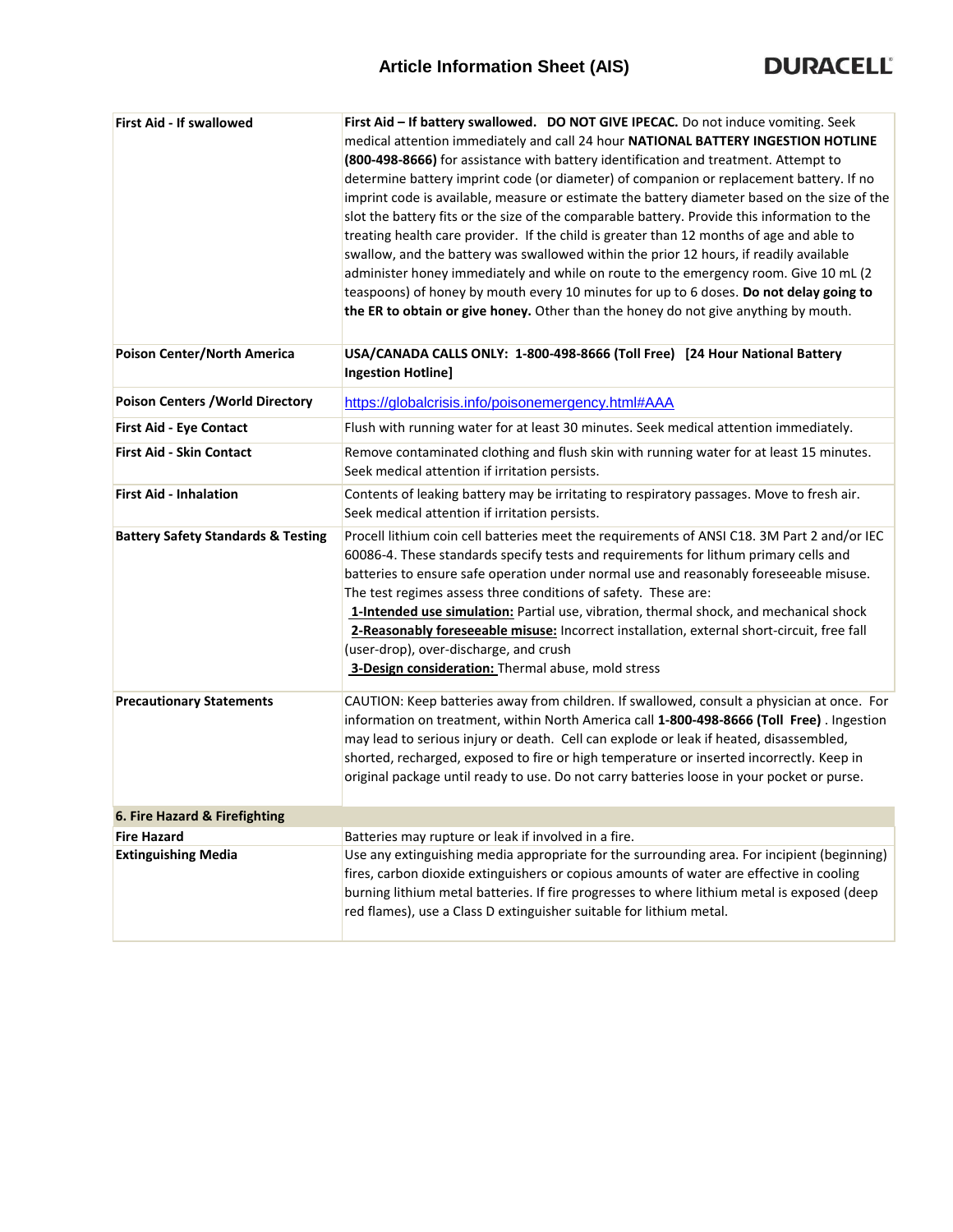| First Aid - If swallowed                      | First Aid - If battery swallowed. DO NOT GIVE IPECAC. Do not induce vomiting. Seek<br>medical attention immediately and call 24 hour NATIONAL BATTERY INGESTION HOTLINE<br>(800-498-8666) for assistance with battery identification and treatment. Attempt to<br>determine battery imprint code (or diameter) of companion or replacement battery. If no<br>imprint code is available, measure or estimate the battery diameter based on the size of the<br>slot the battery fits or the size of the comparable battery. Provide this information to the<br>treating health care provider. If the child is greater than 12 months of age and able to<br>swallow, and the battery was swallowed within the prior 12 hours, if readily available<br>administer honey immediately and while on route to the emergency room. Give 10 mL (2<br>teaspoons) of honey by mouth every 10 minutes for up to 6 doses. Do not delay going to<br>the ER to obtain or give honey. Other than the honey do not give anything by mouth. |
|-----------------------------------------------|--------------------------------------------------------------------------------------------------------------------------------------------------------------------------------------------------------------------------------------------------------------------------------------------------------------------------------------------------------------------------------------------------------------------------------------------------------------------------------------------------------------------------------------------------------------------------------------------------------------------------------------------------------------------------------------------------------------------------------------------------------------------------------------------------------------------------------------------------------------------------------------------------------------------------------------------------------------------------------------------------------------------------|
| Poison Center/North America                   | USA/CANADA CALLS ONLY: 1-800-498-8666 (Toll Free) [24 Hour National Battery<br><b>Ingestion Hotline]</b>                                                                                                                                                                                                                                                                                                                                                                                                                                                                                                                                                                                                                                                                                                                                                                                                                                                                                                                 |
| <b>Poison Centers / World Directory</b>       | https://globalcrisis.info/poisonemergency.html#AAA                                                                                                                                                                                                                                                                                                                                                                                                                                                                                                                                                                                                                                                                                                                                                                                                                                                                                                                                                                       |
| First Aid - Eye Contact                       | Flush with running water for at least 30 minutes. Seek medical attention immediately.                                                                                                                                                                                                                                                                                                                                                                                                                                                                                                                                                                                                                                                                                                                                                                                                                                                                                                                                    |
| <b>First Aid - Skin Contact</b>               | Remove contaminated clothing and flush skin with running water for at least 15 minutes.<br>Seek medical attention if irritation persists.                                                                                                                                                                                                                                                                                                                                                                                                                                                                                                                                                                                                                                                                                                                                                                                                                                                                                |
| <b>First Aid - Inhalation</b>                 | Contents of leaking battery may be irritating to respiratory passages. Move to fresh air.<br>Seek medical attention if irritation persists.                                                                                                                                                                                                                                                                                                                                                                                                                                                                                                                                                                                                                                                                                                                                                                                                                                                                              |
| <b>Battery Safety Standards &amp; Testing</b> | Procell lithium coin cell batteries meet the requirements of ANSI C18. 3M Part 2 and/or IEC<br>60086-4. These standards specify tests and requirements for lithum primary cells and<br>batteries to ensure safe operation under normal use and reasonably foreseeable misuse.<br>The test regimes assess three conditions of safety. These are:<br>1-Intended use simulation: Partial use, vibration, thermal shock, and mechanical shock<br>2-Reasonably foreseeable misuse: Incorrect installation, external short-circuit, free fall<br>(user-drop), over-discharge, and crush<br>3-Design consideration: Thermal abuse, mold stress                                                                                                                                                                                                                                                                                                                                                                                  |
| <b>Precautionary Statements</b>               | CAUTION: Keep batteries away from children. If swallowed, consult a physician at once. For<br>information on treatment, within North America call 1-800-498-8666 (Toll Free). Ingestion<br>may lead to serious injury or death. Cell can explode or leak if heated, disassembled,<br>shorted, recharged, exposed to fire or high temperature or inserted incorrectly. Keep in<br>original package until ready to use. Do not carry batteries loose in your pocket or purse.                                                                                                                                                                                                                                                                                                                                                                                                                                                                                                                                              |
| 6. Fire Hazard & Firefighting                 |                                                                                                                                                                                                                                                                                                                                                                                                                                                                                                                                                                                                                                                                                                                                                                                                                                                                                                                                                                                                                          |
| <b>Fire Hazard</b>                            | Batteries may rupture or leak if involved in a fire.                                                                                                                                                                                                                                                                                                                                                                                                                                                                                                                                                                                                                                                                                                                                                                                                                                                                                                                                                                     |
| <b>Extinguishing Media</b>                    | Use any extinguishing media appropriate for the surrounding area. For incipient (beginning)<br>fires, carbon dioxide extinguishers or copious amounts of water are effective in cooling<br>burning lithium metal batteries. If fire progresses to where lithium metal is exposed (deep<br>red flames), use a Class D extinguisher suitable for lithium metal.                                                                                                                                                                                                                                                                                                                                                                                                                                                                                                                                                                                                                                                            |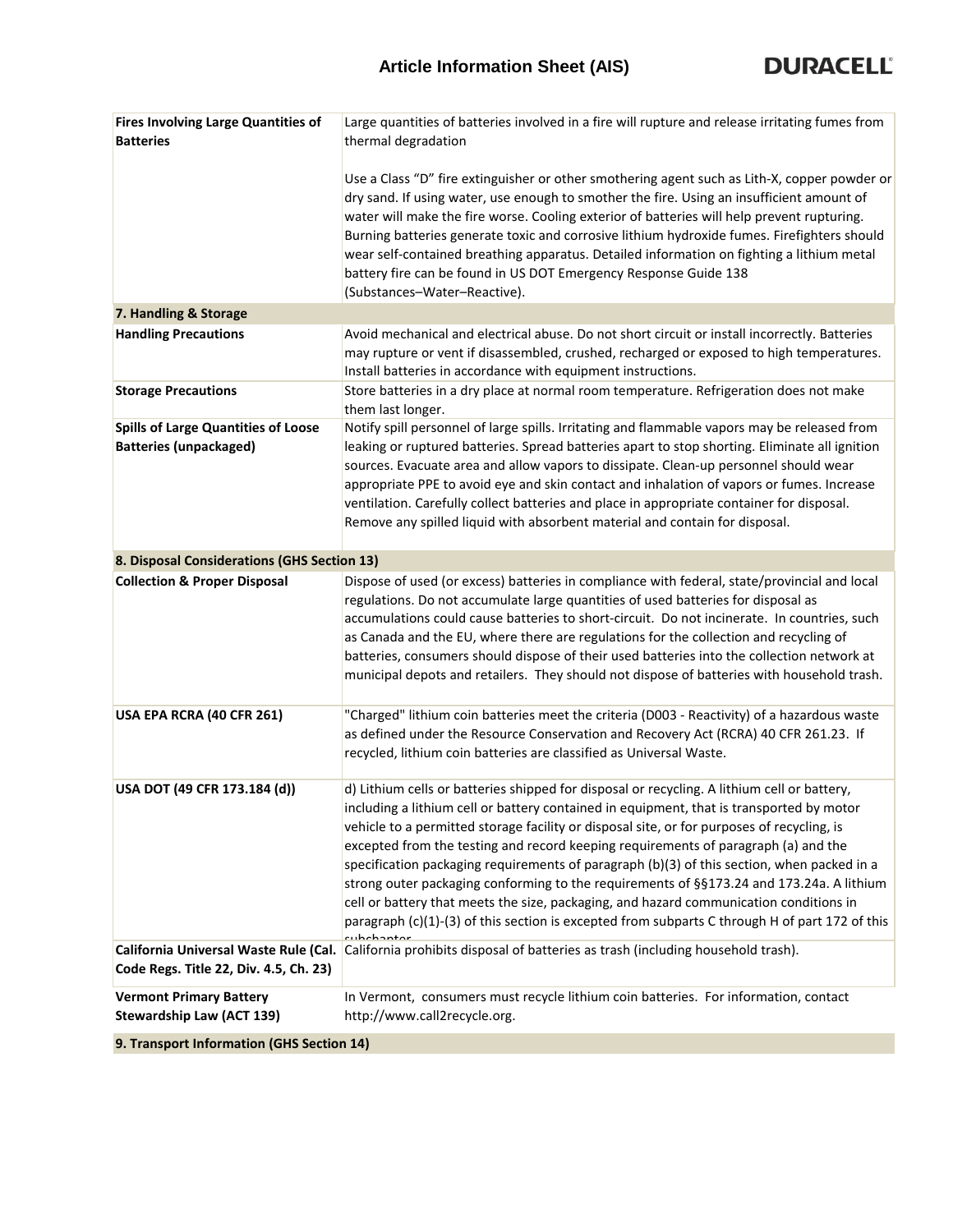| <b>Fires Involving Large Quantities of</b>  | Large quantities of batteries involved in a fire will rupture and release irritating fumes from                                                                                           |
|---------------------------------------------|-------------------------------------------------------------------------------------------------------------------------------------------------------------------------------------------|
| <b>Batteries</b>                            | thermal degradation                                                                                                                                                                       |
|                                             |                                                                                                                                                                                           |
|                                             | Use a Class "D" fire extinguisher or other smothering agent such as Lith-X, copper powder or<br>dry sand. If using water, use enough to smother the fire. Using an insufficient amount of |
|                                             | water will make the fire worse. Cooling exterior of batteries will help prevent rupturing.                                                                                                |
|                                             | Burning batteries generate toxic and corrosive lithium hydroxide fumes. Firefighters should                                                                                               |
|                                             | wear self-contained breathing apparatus. Detailed information on fighting a lithium metal                                                                                                 |
|                                             | battery fire can be found in US DOT Emergency Response Guide 138                                                                                                                          |
|                                             | (Substances-Water-Reactive).                                                                                                                                                              |
| 7. Handling & Storage                       |                                                                                                                                                                                           |
| <b>Handling Precautions</b>                 | Avoid mechanical and electrical abuse. Do not short circuit or install incorrectly. Batteries                                                                                             |
|                                             | may rupture or vent if disassembled, crushed, recharged or exposed to high temperatures.                                                                                                  |
|                                             | Install batteries in accordance with equipment instructions.                                                                                                                              |
| <b>Storage Precautions</b>                  | Store batteries in a dry place at normal room temperature. Refrigeration does not make                                                                                                    |
|                                             | them last longer.                                                                                                                                                                         |
| <b>Spills of Large Quantities of Loose</b>  | Notify spill personnel of large spills. Irritating and flammable vapors may be released from                                                                                              |
| <b>Batteries (unpackaged)</b>               | leaking or ruptured batteries. Spread batteries apart to stop shorting. Eliminate all ignition                                                                                            |
|                                             | sources. Evacuate area and allow vapors to dissipate. Clean-up personnel should wear                                                                                                      |
|                                             | appropriate PPE to avoid eye and skin contact and inhalation of vapors or fumes. Increase                                                                                                 |
|                                             | ventilation. Carefully collect batteries and place in appropriate container for disposal.                                                                                                 |
|                                             | Remove any spilled liquid with absorbent material and contain for disposal.                                                                                                               |
| 8. Disposal Considerations (GHS Section 13) |                                                                                                                                                                                           |
| <b>Collection &amp; Proper Disposal</b>     | Dispose of used (or excess) batteries in compliance with federal, state/provincial and local                                                                                              |
|                                             | regulations. Do not accumulate large quantities of used batteries for disposal as                                                                                                         |
|                                             | accumulations could cause batteries to short-circuit. Do not incinerate. In countries, such                                                                                               |
|                                             | as Canada and the EU, where there are regulations for the collection and recycling of                                                                                                     |
|                                             | batteries, consumers should dispose of their used batteries into the collection network at                                                                                                |
|                                             | municipal depots and retailers. They should not dispose of batteries with household trash.                                                                                                |
| USA EPA RCRA (40 CFR 261)                   | "Charged" lithium coin batteries meet the criteria (D003 - Reactivity) of a hazardous waste                                                                                               |
|                                             | as defined under the Resource Conservation and Recovery Act (RCRA) 40 CFR 261.23. If                                                                                                      |
|                                             | recycled, lithium coin batteries are classified as Universal Waste.                                                                                                                       |
|                                             |                                                                                                                                                                                           |
| USA DOT (49 CFR 173.184 (d))                | d) Lithium cells or batteries shipped for disposal or recycling. A lithium cell or battery,                                                                                               |
|                                             | including a lithium cell or battery contained in equipment, that is transported by motor                                                                                                  |
|                                             | vehicle to a permitted storage facility or disposal site, or for purposes of recycling, is                                                                                                |
|                                             | excepted from the testing and record keeping requirements of paragraph (a) and the                                                                                                        |
|                                             | specification packaging requirements of paragraph (b)(3) of this section, when packed in a                                                                                                |
|                                             | strong outer packaging conforming to the requirements of §§173.24 and 173.24a. A lithium                                                                                                  |
|                                             | cell or battery that meets the size, packaging, and hazard communication conditions in                                                                                                    |
|                                             | paragraph (c)(1)-(3) of this section is excepted from subparts C through H of part 172 of this                                                                                            |
|                                             | California Universal Waste Rule (Cal. California prohibits disposal of batteries as trash (including household trash).                                                                    |
| Code Regs. Title 22, Div. 4.5, Ch. 23)      |                                                                                                                                                                                           |
| <b>Vermont Primary Battery</b>              | In Vermont, consumers must recycle lithium coin batteries. For information, contact                                                                                                       |
| <b>Stewardship Law (ACT 139)</b>            | http://www.call2recycle.org.                                                                                                                                                              |
|                                             |                                                                                                                                                                                           |

**9. Transport Information (GHS Section 14)**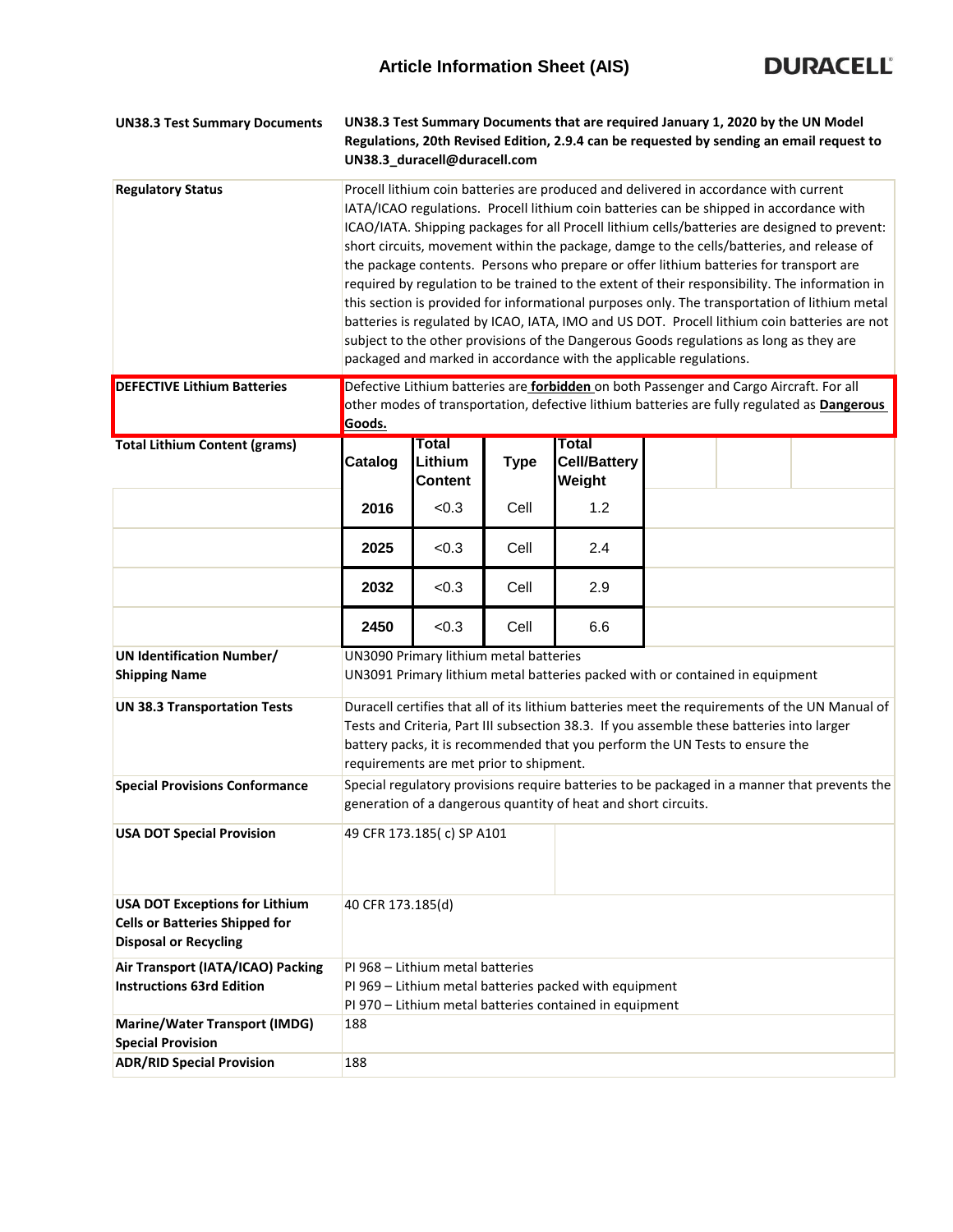

| <b>UN38.3 Test Summary Documents</b>                                                                           | UN38.3 Test Summary Documents that are required January 1, 2020 by the UN Model<br>Regulations, 20th Revised Edition, 2.9.4 can be requested by sending an email request to<br>UN38.3_duracell@duracell.com                                                                                                                                                                                                                                                                                                                                                                                                                                                                                                                                                                                                                                                                                                                                |                                           |             |                                                         |  |  |  |
|----------------------------------------------------------------------------------------------------------------|--------------------------------------------------------------------------------------------------------------------------------------------------------------------------------------------------------------------------------------------------------------------------------------------------------------------------------------------------------------------------------------------------------------------------------------------------------------------------------------------------------------------------------------------------------------------------------------------------------------------------------------------------------------------------------------------------------------------------------------------------------------------------------------------------------------------------------------------------------------------------------------------------------------------------------------------|-------------------------------------------|-------------|---------------------------------------------------------|--|--|--|
| <b>Regulatory Status</b>                                                                                       | Procell lithium coin batteries are produced and delivered in accordance with current<br>IATA/ICAO regulations. Procell lithium coin batteries can be shipped in accordance with<br>ICAO/IATA. Shipping packages for all Procell lithium cells/batteries are designed to prevent:<br>short circuits, movement within the package, damge to the cells/batteries, and release of<br>the package contents. Persons who prepare or offer lithium batteries for transport are<br>required by regulation to be trained to the extent of their responsibility. The information in<br>this section is provided for informational purposes only. The transportation of lithium metal<br>batteries is regulated by ICAO, IATA, IMO and US DOT. Procell lithium coin batteries are not<br>subject to the other provisions of the Dangerous Goods regulations as long as they are<br>packaged and marked in accordance with the applicable regulations. |                                           |             |                                                         |  |  |  |
| <b>DEFECTIVE Lithium Batteries</b>                                                                             | Defective Lithium batteries are <b>forbidden</b> on both Passenger and Cargo Aircraft. For all<br>other modes of transportation, defective lithium batteries are fully regulated as <b>Dangerous</b><br>Goods.                                                                                                                                                                                                                                                                                                                                                                                                                                                                                                                                                                                                                                                                                                                             |                                           |             |                                                         |  |  |  |
| <b>Total Lithium Content (grams)</b>                                                                           | Catalog                                                                                                                                                                                                                                                                                                                                                                                                                                                                                                                                                                                                                                                                                                                                                                                                                                                                                                                                    | <b>Total</b><br>Lithium<br><b>Content</b> | <b>Type</b> | <b>Total</b><br><b>Cell/Battery</b><br>Weight           |  |  |  |
|                                                                                                                | 2016                                                                                                                                                                                                                                                                                                                                                                                                                                                                                                                                                                                                                                                                                                                                                                                                                                                                                                                                       | < 0.3                                     | Cell        | 1.2                                                     |  |  |  |
|                                                                                                                | 2025                                                                                                                                                                                                                                                                                                                                                                                                                                                                                                                                                                                                                                                                                                                                                                                                                                                                                                                                       | < 0.3                                     | Cell        | 2.4                                                     |  |  |  |
|                                                                                                                | 2032                                                                                                                                                                                                                                                                                                                                                                                                                                                                                                                                                                                                                                                                                                                                                                                                                                                                                                                                       | < 0.3                                     | Cell        | 2.9                                                     |  |  |  |
|                                                                                                                | 2450                                                                                                                                                                                                                                                                                                                                                                                                                                                                                                                                                                                                                                                                                                                                                                                                                                                                                                                                       | < 0.3                                     | Cell        | 6.6                                                     |  |  |  |
| <b>UN Identification Number/</b><br><b>Shipping Name</b>                                                       | UN3090 Primary lithium metal batteries<br>UN3091 Primary lithium metal batteries packed with or contained in equipment                                                                                                                                                                                                                                                                                                                                                                                                                                                                                                                                                                                                                                                                                                                                                                                                                     |                                           |             |                                                         |  |  |  |
| <b>UN 38.3 Transportation Tests</b>                                                                            | Duracell certifies that all of its lithium batteries meet the requirements of the UN Manual of<br>Tests and Criteria, Part III subsection 38.3. If you assemble these batteries into larger<br>battery packs, it is recommended that you perform the UN Tests to ensure the<br>requirements are met prior to shipment.                                                                                                                                                                                                                                                                                                                                                                                                                                                                                                                                                                                                                     |                                           |             |                                                         |  |  |  |
| <b>Special Provisions Conformance</b>                                                                          | Special regulatory provisions require batteries to be packaged in a manner that prevents the<br>generation of a dangerous quantity of heat and short circuits.                                                                                                                                                                                                                                                                                                                                                                                                                                                                                                                                                                                                                                                                                                                                                                             |                                           |             |                                                         |  |  |  |
| <b>USA DOT Special Provision</b>                                                                               | 49 CFR 173.185(c) SP A101                                                                                                                                                                                                                                                                                                                                                                                                                                                                                                                                                                                                                                                                                                                                                                                                                                                                                                                  |                                           |             |                                                         |  |  |  |
| <b>USA DOT Exceptions for Lithium</b><br><b>Cells or Batteries Shipped for</b><br><b>Disposal or Recycling</b> | 40 CFR 173.185(d)                                                                                                                                                                                                                                                                                                                                                                                                                                                                                                                                                                                                                                                                                                                                                                                                                                                                                                                          |                                           |             |                                                         |  |  |  |
| Air Transport (IATA/ICAO) Packing<br><b>Instructions 63rd Edition</b>                                          |                                                                                                                                                                                                                                                                                                                                                                                                                                                                                                                                                                                                                                                                                                                                                                                                                                                                                                                                            | PI 968 - Lithium metal batteries          |             | PI 969 - Lithium metal batteries packed with equipment  |  |  |  |
|                                                                                                                |                                                                                                                                                                                                                                                                                                                                                                                                                                                                                                                                                                                                                                                                                                                                                                                                                                                                                                                                            |                                           |             | PI 970 - Lithium metal batteries contained in equipment |  |  |  |
| <b>Marine/Water Transport (IMDG)</b><br><b>Special Provision</b>                                               | 188                                                                                                                                                                                                                                                                                                                                                                                                                                                                                                                                                                                                                                                                                                                                                                                                                                                                                                                                        |                                           |             |                                                         |  |  |  |
| <b>ADR/RID Special Provision</b>                                                                               | 188                                                                                                                                                                                                                                                                                                                                                                                                                                                                                                                                                                                                                                                                                                                                                                                                                                                                                                                                        |                                           |             |                                                         |  |  |  |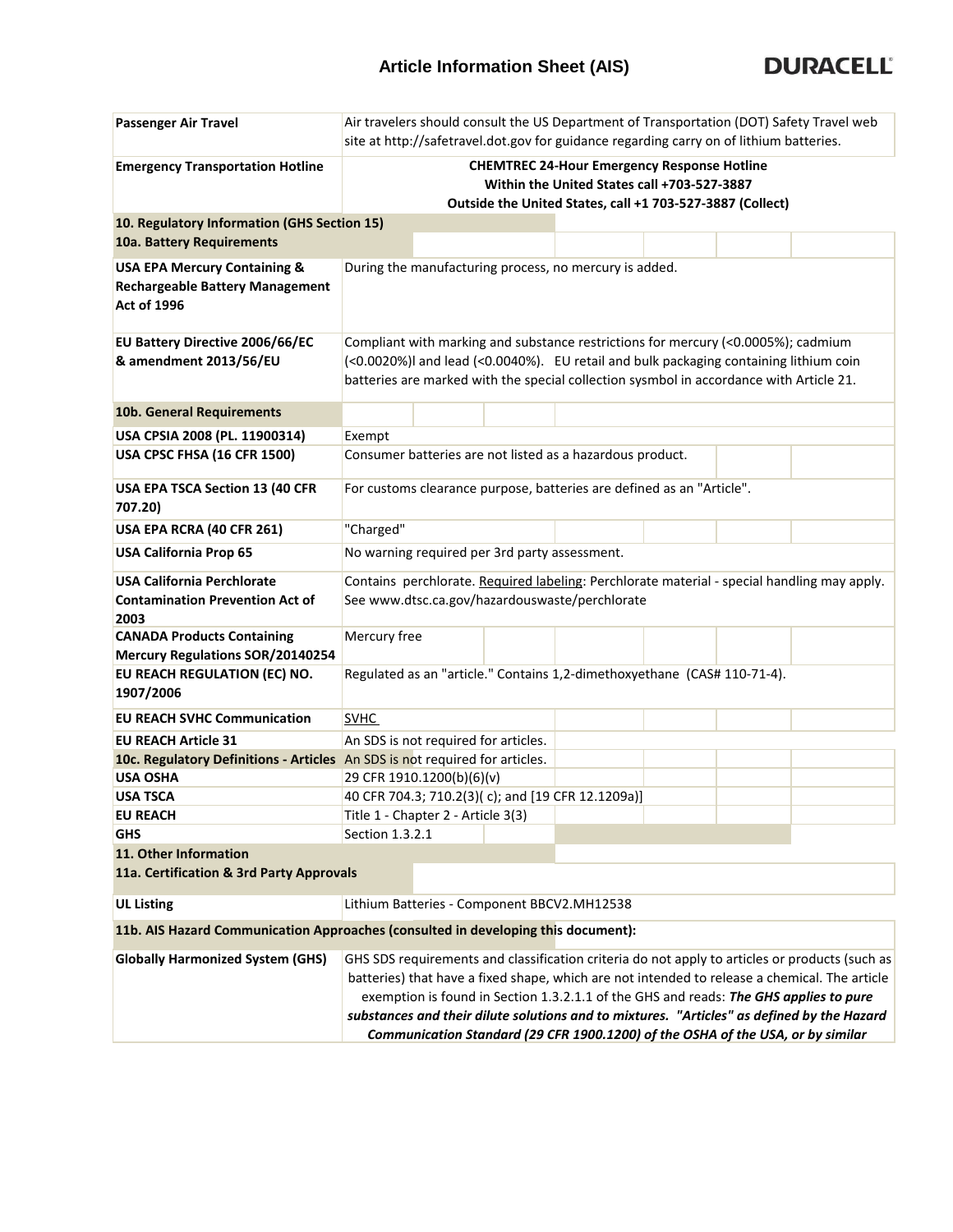## **Article Information Sheet (AIS)**



| <b>Passenger Air Travel</b>                                                                             | Air travelers should consult the US Department of Transportation (DOT) Safety Travel web<br>site at http://safetravel.dot.gov for guidance regarding carry on of lithium batteries.                                                                                   |  |  |                                                                                                                                                                          |  |  |                                                                                                                                                                                                 |
|---------------------------------------------------------------------------------------------------------|-----------------------------------------------------------------------------------------------------------------------------------------------------------------------------------------------------------------------------------------------------------------------|--|--|--------------------------------------------------------------------------------------------------------------------------------------------------------------------------|--|--|-------------------------------------------------------------------------------------------------------------------------------------------------------------------------------------------------|
| <b>Emergency Transportation Hotline</b>                                                                 | <b>CHEMTREC 24-Hour Emergency Response Hotline</b>                                                                                                                                                                                                                    |  |  |                                                                                                                                                                          |  |  |                                                                                                                                                                                                 |
|                                                                                                         | Within the United States call +703-527-3887<br>Outside the United States, call +1 703-527-3887 (Collect)                                                                                                                                                              |  |  |                                                                                                                                                                          |  |  |                                                                                                                                                                                                 |
| 10. Regulatory Information (GHS Section 15)                                                             |                                                                                                                                                                                                                                                                       |  |  |                                                                                                                                                                          |  |  |                                                                                                                                                                                                 |
| 10a. Battery Requirements                                                                               |                                                                                                                                                                                                                                                                       |  |  |                                                                                                                                                                          |  |  |                                                                                                                                                                                                 |
| <b>USA EPA Mercury Containing &amp;</b><br><b>Rechargeable Battery Management</b><br><b>Act of 1996</b> | During the manufacturing process, no mercury is added.                                                                                                                                                                                                                |  |  |                                                                                                                                                                          |  |  |                                                                                                                                                                                                 |
| EU Battery Directive 2006/66/EC<br>& amendment 2013/56/EU                                               | Compliant with marking and substance restrictions for mercury (<0.0005%); cadmium<br>(<0.0020%)I and lead (<0.0040%). EU retail and bulk packaging containing lithium coin<br>batteries are marked with the special collection sysmbol in accordance with Article 21. |  |  |                                                                                                                                                                          |  |  |                                                                                                                                                                                                 |
| 10b. General Requirements                                                                               |                                                                                                                                                                                                                                                                       |  |  |                                                                                                                                                                          |  |  |                                                                                                                                                                                                 |
| USA CPSIA 2008 (PL. 11900314)                                                                           | Exempt                                                                                                                                                                                                                                                                |  |  |                                                                                                                                                                          |  |  |                                                                                                                                                                                                 |
| USA CPSC FHSA (16 CFR 1500)                                                                             | Consumer batteries are not listed as a hazardous product.                                                                                                                                                                                                             |  |  |                                                                                                                                                                          |  |  |                                                                                                                                                                                                 |
| USA EPA TSCA Section 13 (40 CFR<br>707.20)                                                              | For customs clearance purpose, batteries are defined as an "Article".                                                                                                                                                                                                 |  |  |                                                                                                                                                                          |  |  |                                                                                                                                                                                                 |
| USA EPA RCRA (40 CFR 261)                                                                               | "Charged"                                                                                                                                                                                                                                                             |  |  |                                                                                                                                                                          |  |  |                                                                                                                                                                                                 |
| <b>USA California Prop 65</b>                                                                           | No warning required per 3rd party assessment.                                                                                                                                                                                                                         |  |  |                                                                                                                                                                          |  |  |                                                                                                                                                                                                 |
| <b>USA California Perchlorate</b>                                                                       | Contains perchlorate. Required labeling: Perchlorate material - special handling may apply.                                                                                                                                                                           |  |  |                                                                                                                                                                          |  |  |                                                                                                                                                                                                 |
| <b>Contamination Prevention Act of</b><br>2003                                                          | See www.dtsc.ca.gov/hazardouswaste/perchlorate                                                                                                                                                                                                                        |  |  |                                                                                                                                                                          |  |  |                                                                                                                                                                                                 |
| <b>CANADA Products Containing</b><br><b>Mercury Regulations SOR/20140254</b>                            | Mercury free                                                                                                                                                                                                                                                          |  |  |                                                                                                                                                                          |  |  |                                                                                                                                                                                                 |
| EU REACH REGULATION (EC) NO.<br>1907/2006                                                               | Regulated as an "article." Contains 1,2-dimethoxyethane (CAS# 110-71-4).                                                                                                                                                                                              |  |  |                                                                                                                                                                          |  |  |                                                                                                                                                                                                 |
| <b>EU REACH SVHC Communication</b>                                                                      | <b>SVHC</b>                                                                                                                                                                                                                                                           |  |  |                                                                                                                                                                          |  |  |                                                                                                                                                                                                 |
| <b>EU REACH Article 31</b>                                                                              | An SDS is not required for articles.                                                                                                                                                                                                                                  |  |  |                                                                                                                                                                          |  |  |                                                                                                                                                                                                 |
| 10c. Regulatory Definitions - Articles An SDS is not required for articles.                             |                                                                                                                                                                                                                                                                       |  |  |                                                                                                                                                                          |  |  |                                                                                                                                                                                                 |
| <b>USA OSHA</b>                                                                                         | 29 CFR 1910.1200(b)(6)(v)                                                                                                                                                                                                                                             |  |  |                                                                                                                                                                          |  |  |                                                                                                                                                                                                 |
| <b>USA TSCA</b>                                                                                         | 40 CFR 704.3; 710.2(3)(c); and [19 CFR 12.1209a)]<br>Title 1 - Chapter 2 - Article 3(3)                                                                                                                                                                               |  |  |                                                                                                                                                                          |  |  |                                                                                                                                                                                                 |
| <b>EU REACH</b><br><b>GHS</b>                                                                           | Section 1.3.2.1                                                                                                                                                                                                                                                       |  |  |                                                                                                                                                                          |  |  |                                                                                                                                                                                                 |
| 11. Other Information                                                                                   |                                                                                                                                                                                                                                                                       |  |  |                                                                                                                                                                          |  |  |                                                                                                                                                                                                 |
| 11a. Certification & 3rd Party Approvals                                                                |                                                                                                                                                                                                                                                                       |  |  |                                                                                                                                                                          |  |  |                                                                                                                                                                                                 |
| <b>UL Listing</b>                                                                                       | Lithium Batteries - Component BBCV2.MH12538                                                                                                                                                                                                                           |  |  |                                                                                                                                                                          |  |  |                                                                                                                                                                                                 |
| 11b. AIS Hazard Communication Approaches (consulted in developing this document):                       |                                                                                                                                                                                                                                                                       |  |  |                                                                                                                                                                          |  |  |                                                                                                                                                                                                 |
| <b>Globally Harmonized System (GHS)</b>                                                                 | substances and their dilute solutions and to mixtures. "Articles" as defined by the Hazard                                                                                                                                                                            |  |  | exemption is found in Section 1.3.2.1.1 of the GHS and reads: The GHS applies to pure<br>Communication Standard (29 CFR 1900.1200) of the OSHA of the USA, or by similar |  |  | GHS SDS requirements and classification criteria do not apply to articles or products (such as<br>batteries) that have a fixed shape, which are not intended to release a chemical. The article |